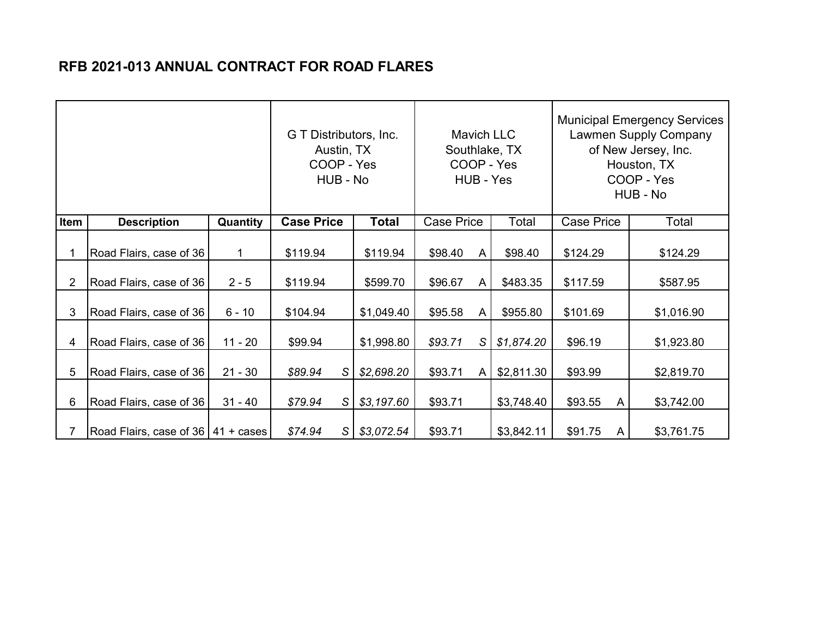## **RFB 2021-013 ANNUAL CONTRACT FOR ROAD FLARES**

|                |                                      |           | G T Distributors, Inc.<br>Austin, TX<br>COOP - Yes<br>HUB - No |                |              | <b>Mavich LLC</b><br>Southlake, TX<br>COOP - Yes<br>HUB - Yes |   |            | <b>Municipal Emergency Services</b><br><b>Lawmen Supply Company</b><br>of New Jersey, Inc.<br>Houston, TX<br>COOP - Yes<br>HUB - No |            |  |
|----------------|--------------------------------------|-----------|----------------------------------------------------------------|----------------|--------------|---------------------------------------------------------------|---|------------|-------------------------------------------------------------------------------------------------------------------------------------|------------|--|
| Item           | <b>Description</b>                   | Quantity  | <b>Case Price</b>                                              |                | <b>Total</b> | <b>Case Price</b>                                             |   | Total      | <b>Case Price</b>                                                                                                                   | Total      |  |
|                | Road Flairs, case of 36              | 1         | \$119.94                                                       |                | \$119.94     | \$98.40                                                       | A | \$98.40    | \$124.29                                                                                                                            | \$124.29   |  |
| $\overline{2}$ | Road Flairs, case of 36              | $2 - 5$   | \$119.94                                                       |                | \$599.70     | \$96.67                                                       | A | \$483.35   | \$117.59                                                                                                                            | \$587.95   |  |
| 3              | Road Flairs, case of 36              | $6 - 10$  | \$104.94                                                       |                | \$1,049.40   | \$95.58                                                       | A | \$955.80   | \$101.69                                                                                                                            | \$1,016.90 |  |
| 4              | Road Flairs, case of 36              | $11 - 20$ | \$99.94                                                        |                | \$1,998.80   | \$93.71                                                       | S | \$1,874.20 | \$96.19                                                                                                                             | \$1,923.80 |  |
| 5              | Road Flairs, case of 36              | $21 - 30$ | \$89.94                                                        | S              | \$2,698.20   | \$93.71                                                       | A | \$2,811.30 | \$93.99                                                                                                                             | \$2,819.70 |  |
| 6              | Road Flairs, case of 36              | $31 - 40$ | \$79.94                                                        | S              | \$3,197.60   | \$93.71                                                       |   | \$3,748.40 | \$93.55<br>A                                                                                                                        | \$3,742.00 |  |
|                | Road Flairs, case of 36   41 + cases |           | \$74.94                                                        | S <sub>1</sub> | \$3,072.54   | \$93.71                                                       |   | \$3,842.11 | \$91.75<br>A                                                                                                                        | \$3,761.75 |  |